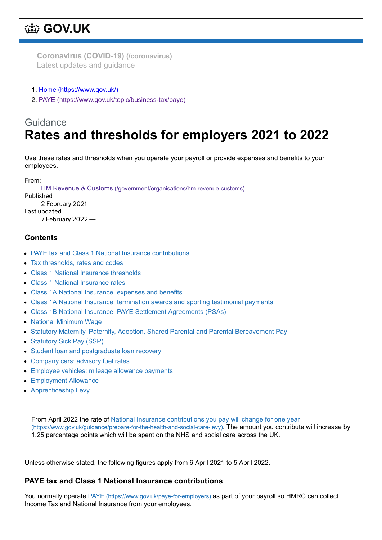# **[GOV.UK](https://www.gov.uk/)**

**[Coronavirus](https://www.gov.uk/coronavirus) (COVID-19) (/coronavirus)** Latest updates and guidance

- 1. [Home \(https://www.gov.uk/\)](https://www.gov.uk/)
- 2. [PAYE \(https://www.gov.uk/topic/business-tax/paye\)](https://www.gov.uk/topic/business-tax/paye)

## Guidance **Rates and thresholds for employers 2021 to 2022**

Use these rates and thresholds when you operate your payroll or provide expenses and benefits to your employees.

From:

HM Revenue & Customs [\(/government/organisations/hm-revenue-customs\)](https://www.gov.uk/government/organisations/hm-revenue-customs)

Published 2 February 2021 Last updated

7 February 2022 —

## **Contents**

- [PAYE tax and Class 1 National Insurance contributions](#page-0-0)
- [Tax thresholds, rates and codes](#page-1-0)
- [Class 1 National Insurance thresholds](#page-2-0)
- [Class 1 National Insurance rates](#page-2-1)
- [Class 1A National Insurance: expenses and benefits](#page-3-0)
- [Class 1A National Insurance: termination awards and sporting testimonial payments](#page-3-1)
- [Class 1B National Insurance: PAYE Settlement Agreements \(PSAs\)](#page-4-0)
- [National Minimum Wage](#page-4-1)
- [Statutory Maternity, Paternity, Adoption, Shared Parental and Parental Bereavement Pay](#page-4-2)
- [Statutory Sick Pay \(SSP\)](#page-5-0)
- [Student loan and postgraduate loan recovery](#page-6-0)
- [Company cars: advisory fuel rates](#page-6-1)
- [Employee vehicles: mileage allowance payments](#page-7-0)
- [Employment Allowance](#page-7-1)
- [Apprenticeship Levy](#page-7-2)

[From April 2022 the rate of National Insurance contributions you pay will change for one year](https://www.gov.uk/guidance/prepare-for-the-health-and-social-care-levy) (https://www.gov.uk/guidance/prepare-for-the-health-and-social-care-levy). The amount you contribute will increase by 1.25 percentage points which will be spent on the NHS and social care across the UK.

Unless otherwise stated, the following figures apply from 6 April 2021 to 5 April 2022.

#### <span id="page-0-0"></span>**PAYE tax and Class 1 National Insurance contributions**

You normally operate PAYE [\(https://www.gov.uk/paye-for-employers\)](https://www.gov.uk/paye-for-employers) as part of your payroll so HMRC can collect Income Tax and National Insurance from your employees.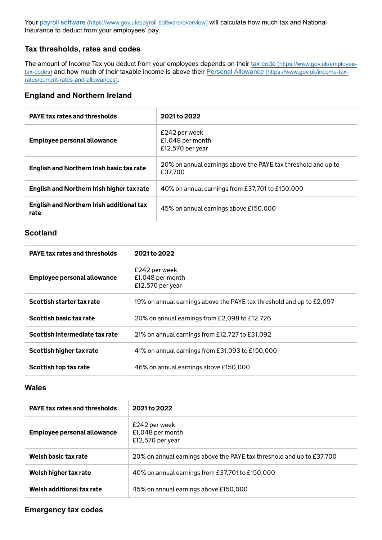Your payroll software [\(https://www.gov.uk/payroll-software/overview\)](https://www.gov.uk/payroll-software/overview) will calculate how much tax and National Insurance to deduct from your employees' pay.

## <span id="page-1-0"></span>**Tax thresholds, rates and codes**

[The amount of Income Tax you deduct from your employees depends on their tax code](https://www.gov.uk/employee-tax-codes) (https://www.gov.uk/employeetax-codes) [and how much of their taxable income is above their Personal Allowance](https://www.gov.uk/income-tax-rates/current-rates-and-allowances) (https://www.gov.uk/income-taxrates/current-rates-and-allowances).

#### **England and Northern Ireland**

| <b>PAYE tax rates and thresholds</b>              | 2021 to 2022                                                             |
|---------------------------------------------------|--------------------------------------------------------------------------|
| <b>Employee personal allowance</b>                | £242 per week<br>£1,048 per month<br>£12,570 per year                    |
| <b>English and Northern Irish basic tax rate</b>  | 20% on annual earnings above the PAYE tax threshold and up to<br>£37.700 |
| English and Northern Irish higher tax rate        | 40% on annual earnings from £37,701 to £150,000                          |
| English and Northern Irish additional tax<br>rate | 45% on annual earnings above £150,000                                    |

## **Scotland**

| <b>PAYE tax rates and thresholds</b> | 2021 to 2022                                                         |
|--------------------------------------|----------------------------------------------------------------------|
| <b>Employee personal allowance</b>   | £242 per week<br>£1,048 per month<br>£12,570 per year                |
| Scottish starter tax rate            | 19% on annual earnings above the PAYE tax threshold and up to £2,097 |
| Scottish basic tax rate              | 20% on annual earnings from £2,098 to £12,726                        |
| Scottish intermediate tax rate       | 21% on annual earnings from £12,727 to £31,092                       |
| Scottish higher tax rate             | 41% on annual earnings from £31,093 to £150,000                      |
| Scottish top tax rate                | 46% on annual earnings above £150,000                                |

#### **Wales**

| <b>PAYE tax rates and thresholds</b> | 2021 to 2022                                                          |
|--------------------------------------|-----------------------------------------------------------------------|
| <b>Employee personal allowance</b>   | £242 per week<br>£1,048 per month<br>£12,570 per year                 |
| Welsh basic tax rate                 | 20% on annual earnings above the PAYE tax threshold and up to £37,700 |
| Welsh higher tax rate                | 40% on annual earnings from £37,701 to £150,000                       |
| Welsh additional tax rate            | 45% on annual earnings above £150,000                                 |

#### **Emergency tax codes**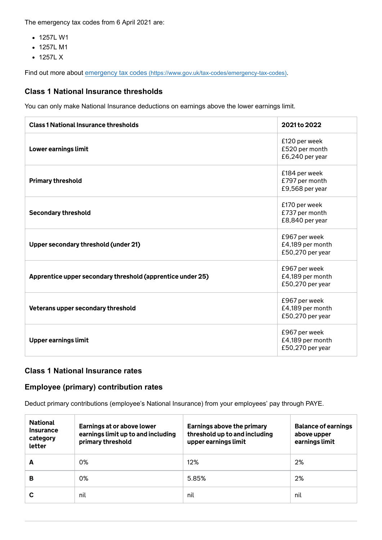The emergency tax codes from 6 April 2021 are:

- 1257L W1
- 1257L M1
- 1257L X

Find out more about emergency tax codes [\(https://www.gov.uk/tax-codes/emergency-tax-codes\)](https://www.gov.uk/tax-codes/emergency-tax-codes).

#### <span id="page-2-0"></span>**Class 1 National Insurance thresholds**

You can only make National Insurance deductions on earnings above the lower earnings limit.

| <b>Class 1 National Insurance thresholds</b>               | 2021 to 2022                                          |
|------------------------------------------------------------|-------------------------------------------------------|
| Lower earnings limit                                       | £120 per week<br>£520 per month<br>£6,240 per year    |
| <b>Primary threshold</b>                                   | £184 per week<br>£797 per month<br>£9,568 per year    |
| <b>Secondary threshold</b>                                 | £170 per week<br>£737 per month<br>£8,840 per year    |
| Upper secondary threshold (under 21)                       | £967 per week<br>£4,189 per month<br>£50,270 per year |
| Apprentice upper secondary threshold (apprentice under 25) | £967 per week<br>£4,189 per month<br>£50,270 per year |
| Veterans upper secondary threshold                         | £967 per week<br>£4,189 per month<br>£50,270 per year |
| <b>Upper earnings limit</b>                                | £967 per week<br>£4,189 per month<br>£50,270 per year |

### <span id="page-2-1"></span>**Class 1 National Insurance rates**

#### **Employee (primary) contribution rates**

Deduct primary contributions (employee's National Insurance) from your employees' pay through PAYE.

| <b>National</b><br><b>Insurance</b><br>category<br>letter | Earnings at or above lower<br>earnings limit up to and including<br>primary threshold | Earnings above the primary<br>threshold up to and including<br>upper earnings limit | <b>Balance of earnings</b><br>above upper<br>earnings limit |  |
|-----------------------------------------------------------|---------------------------------------------------------------------------------------|-------------------------------------------------------------------------------------|-------------------------------------------------------------|--|
| А                                                         | 0%                                                                                    | 12%                                                                                 | 2%                                                          |  |
| в                                                         | 0%                                                                                    | 5.85%                                                                               | 2%                                                          |  |
|                                                           | nil                                                                                   | nil                                                                                 | nil                                                         |  |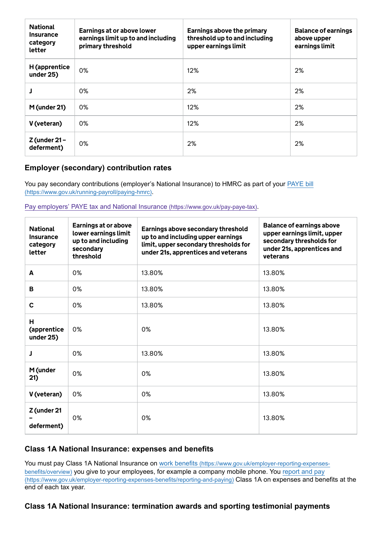| <b>National</b><br><b>Insurance</b><br>category<br>letter | Earnings at or above lower<br>earnings limit up to and including<br>primary threshold | <b>Earnings above the primary</b><br>threshold up to and including<br>upper earnings limit | <b>Balance of earnings</b><br>above upper<br>earnings limit |
|-----------------------------------------------------------|---------------------------------------------------------------------------------------|--------------------------------------------------------------------------------------------|-------------------------------------------------------------|
| H (apprentice<br>under 25)                                | 0%                                                                                    | 12%                                                                                        | 2%                                                          |
|                                                           | 0%                                                                                    | 2%                                                                                         | 2%                                                          |
| M (under 21)                                              | 0%                                                                                    | 12%                                                                                        | 2%                                                          |
| V (veteran)                                               | 0%                                                                                    | 12%                                                                                        | 2%                                                          |
| $Z$ (under 21 -<br>deferment)                             | 0%                                                                                    | 2%                                                                                         | 2%                                                          |

## **Employer (secondary) contribution rates**

[You pay secondary contributions \(employer's National Insurance\) to HMRC as part of your PAYE bill](https://www.gov.uk/running-payroll/paying-hmrc) (https://www.gov.uk/running-payroll/paying-hmrc).

[Pay employers' PAYE tax and National Insurance](https://www.gov.uk/pay-paye-tax) (https://www.gov.uk/pay-paye-tax).

| <b>National</b><br><b>Insurance</b><br>category<br>letter | <b>Earnings at or above</b><br>lower earnings limit<br>up to and including<br>secondary<br>threshold | Earnings above secondary threshold<br>up to and including upper earnings<br>limit, upper secondary thresholds for<br>under 21s, apprentices and veterans | <b>Balance of earnings above</b><br>upper earnings limit, upper<br>secondary thresholds for<br>under 21s, apprentices and<br>veterans |  |
|-----------------------------------------------------------|------------------------------------------------------------------------------------------------------|----------------------------------------------------------------------------------------------------------------------------------------------------------|---------------------------------------------------------------------------------------------------------------------------------------|--|
| A                                                         | 0%                                                                                                   | 13.80%                                                                                                                                                   | 13.80%                                                                                                                                |  |
| B                                                         | 0%                                                                                                   | 13.80%                                                                                                                                                   | 13.80%                                                                                                                                |  |
| $\mathbf c$                                               | 0%                                                                                                   | 13.80%                                                                                                                                                   | 13.80%                                                                                                                                |  |
| н<br>(apprentice<br>under 25)                             | 0%                                                                                                   | 0%                                                                                                                                                       | 13.80%                                                                                                                                |  |
| J                                                         | 0%                                                                                                   | 13.80%                                                                                                                                                   | 13.80%                                                                                                                                |  |
| M (under<br>21)                                           | 0%                                                                                                   | 0%                                                                                                                                                       | 13.80%                                                                                                                                |  |
| V (veteran)                                               | 0%                                                                                                   | 0%                                                                                                                                                       | 13.80%                                                                                                                                |  |
| Z (under 21<br>deferment)                                 | 0%                                                                                                   | 0%                                                                                                                                                       | 13.80%                                                                                                                                |  |

### <span id="page-3-0"></span>**Class 1A National Insurance: expenses and benefits**

You must pay Class 1A National Insurance on work benefits (https://www.gov.uk/employer-reporting-expensesbenefits/overview) [you give to your employees, for example a company mobile phone. You report and pay](https://www.gov.uk/employer-reporting-expenses-benefits/overview) (https://www.gov.uk/employer-reporting-expenses-benefits/reporting-and-paying) Class 1A on expenses and benefits at the end of each tax year.

## <span id="page-3-1"></span>**Class 1A National Insurance: termination awards and sporting testimonial payments**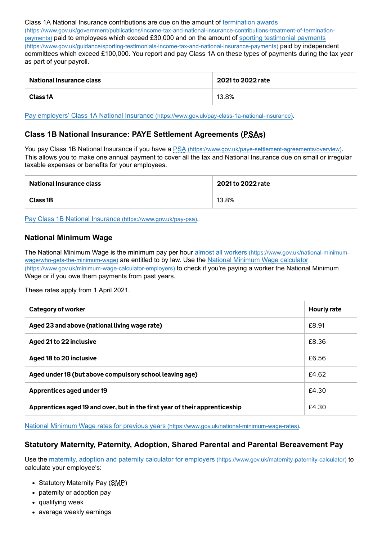Class 1A National Insurance contributions are due on the amount of termination awards [\(https://www.gov.uk/government/publications/income-tax-and-national-insurance-contributions-treatment-of-termination](https://www.gov.uk/government/publications/income-tax-and-national-insurance-contributions-treatment-of-termination-payments)payments) [paid to employees which exceed £30,000 and on the amount of sporting testimonial payments](https://www.gov.uk/guidance/sporting-testimonials-income-tax-and-national-insurance-payments) (https://www.gov.uk/guidance/sporting-testimonials-income-tax-and-national-insurance-payments) paid by independent committees which exceed £100,000. You report and pay Class 1A on these types of payments during the tax year as part of your payroll.

| <b>National Insurance class</b> | 2021 to 2022 rate |  |  |
|---------------------------------|-------------------|--|--|
| <b>Class 1A</b>                 | 13.8%             |  |  |

[Pay employers' Class 1A National Insurance](https://www.gov.uk/pay-class-1a-national-insurance) (https://www.gov.uk/pay-class-1a-national-insurance).

## <span id="page-4-0"></span>**Class 1B National Insurance: PAYE Settlement Agreements (PSAs)**

You pay Class 1B National Insurance if you have a PSA [\(https://www.gov.uk/paye-settlement-agreements/overview\)](https://www.gov.uk/paye-settlement-agreements/overview). This allows you to make one annual payment to cover all the tax and National Insurance due on small or irregular taxable expenses or benefits for your employees.

| <b>National Insurance class</b> | 2021 to 2022 rate |  |  |
|---------------------------------|-------------------|--|--|
| <b>Class 1B</b>                 | 13.8%             |  |  |

[Pay Class 1B National Insurance](https://www.gov.uk/pay-psa) (https://www.gov.uk/pay-psa).

## <span id="page-4-1"></span>**National Minimum Wage**

[The National Minimum Wage is the minimum pay per hour almost all workers](https://www.gov.uk/national-minimum-wage/who-gets-the-minimum-wage) (https://www.gov.uk/national-minimumwage/who-gets-the-minimum-wage) [are entitled to by law. Use the National Minimum Wage calculator](https://www.gov.uk/minimum-wage-calculator-employers) (https://www.gov.uk/minimum-wage-calculator-employers) to check if you're paying a worker the National Minimum Wage or if you owe them payments from past years.

These rates apply from 1 April 2021.

| <b>Category of worker</b>                                                   | <b>Hourly rate</b> |
|-----------------------------------------------------------------------------|--------------------|
| Aged 23 and above (national living wage rate)                               | £8.91              |
| Aged 21 to 22 inclusive                                                     | £8.36              |
| Aged 18 to 20 inclusive                                                     | £6.56              |
| Aged under 18 (but above compulsory school leaving age)                     | £4.62              |
| Apprentices aged under 19                                                   | £4.30              |
| Apprentices aged 19 and over, but in the first year of their apprenticeship | £4.30              |

[National Minimum Wage rates for previous years](https://www.gov.uk/national-minimum-wage-rates) (https://www.gov.uk/national-minimum-wage-rates).

### <span id="page-4-2"></span>**Statutory Maternity, Paternity, Adoption, Shared Parental and Parental Bereavement Pay**

Use the [maternity, adoption and paternity calculator for employers](https://www.gov.uk/maternity-paternity-calculator) (https://www.gov.uk/maternity-paternity-calculator) to calculate your employee's:

- Statutory Maternity Pay (SMP)
- paternity or adoption pay
- qualifying week
- average weekly earnings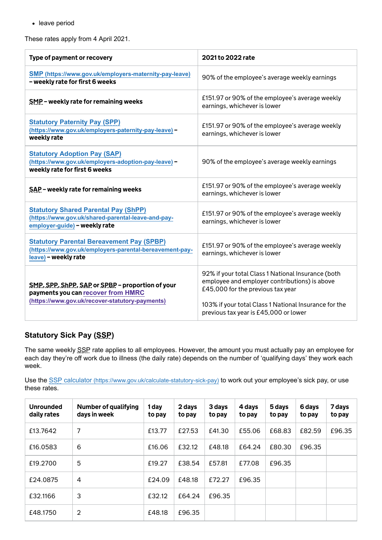• leave period

These rates apply from 4 April 2021.

| Type of payment or recovery                                                                                                         | 2021 to 2022 rate                                                                                                                        |  |  |  |
|-------------------------------------------------------------------------------------------------------------------------------------|------------------------------------------------------------------------------------------------------------------------------------------|--|--|--|
| SMP (https://www.gov.uk/employers-maternity-pay-leave)<br>- weekly rate for first 6 weeks                                           | 90% of the employee's average weekly earnings                                                                                            |  |  |  |
| SMP - weekly rate for remaining weeks                                                                                               | £151.97 or 90% of the employee's average weekly<br>earnings, whichever is lower                                                          |  |  |  |
| <b>Statutory Paternity Pay (SPP)</b><br>(https://www.gov.uk/employers-paternity-pay-leave) -<br>weekly rate                         | £151.97 or 90% of the employee's average weekly<br>earnings, whichever is lower                                                          |  |  |  |
| <b>Statutory Adoption Pay (SAP)</b><br>(https://www.gov.uk/employers-adoption-pay-leave) -<br>weekly rate for first 6 weeks         | 90% of the employee's average weekly earnings                                                                                            |  |  |  |
| SAP - weekly rate for remaining weeks                                                                                               | £151.97 or 90% of the employee's average weekly<br>earnings, whichever is lower                                                          |  |  |  |
| <b>Statutory Shared Parental Pay (ShPP)</b><br>(https://www.gov.uk/shared-parental-leave-and-pay-<br>employer-guide) - weekly rate  | £151.97 or 90% of the employee's average weekly<br>earnings, whichever is lower                                                          |  |  |  |
| <b>Statutory Parental Bereavement Pay (SPBP)</b><br>(https://www.gov.uk/employers-parental-bereavement-pay-<br>leave) - weekly rate | £151.97 or 90% of the employee's average weekly<br>earnings, whichever is lower                                                          |  |  |  |
| SMP, SPP, ShPP, SAP or SPBP - proportion of your<br>payments you can recover from HMRC                                              | 92% if your total Class 1 National Insurance (both<br>employee and employer contributions) is above<br>£45,000 for the previous tax year |  |  |  |
| (https://www.gov.uk/recover-statutory-payments)                                                                                     | 103% if your total Class 1 National Insurance for the<br>previous tax year is £45,000 or lower                                           |  |  |  |

## <span id="page-5-0"></span>**Statutory Sick Pay (SSP)**

The same weekly SSP rate applies to all employees. However, the amount you must actually pay an employee for each day they're off work due to illness (the daily rate) depends on the number of 'qualifying days' they work each week.

Use the SSP calculator [\(https://www.gov.uk/calculate-statutory-sick-pay\)](https://www.gov.uk/calculate-statutory-sick-pay) to work out your employee's sick pay, or use these rates.

| <b>Unrounded</b><br>daily rates | <b>Number of qualifying</b><br>days in week | 1 day<br>to pay | 2 days<br>to pay | 3 days<br>to pay | 4 days<br>to pay | 5 days<br>to pay | 6 days<br>to pay | 7 days<br>to pay |
|---------------------------------|---------------------------------------------|-----------------|------------------|------------------|------------------|------------------|------------------|------------------|
| £13.7642                        | 7                                           | £13.77          | £27.53           | £41.30           | £55.06           | £68.83           | £82.59           | £96.35           |
| £16.0583                        | 6                                           | £16.06          | £32.12           | £48.18           | £64.24           | £80.30           | £96.35           |                  |
| £19,2700                        | 5                                           | £19.27          | £38.54           | £57.81           | £77.08           | £96.35           |                  |                  |
| £24.0875                        | $\overline{4}$                              | £24.09          | £48.18           | £72.27           | £96.35           |                  |                  |                  |
| £32,1166                        | 3                                           | £32.12          | £64.24           | £96.35           |                  |                  |                  |                  |
| £48.1750                        | $\overline{2}$                              | £48.18          | £96.35           |                  |                  |                  |                  |                  |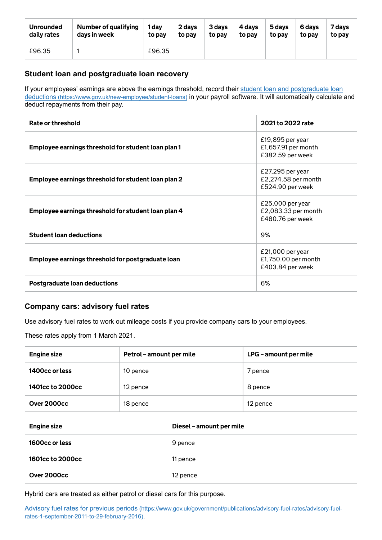| <b>Unrounded</b> | <b>Number of qualifying</b> | dav    | 2 days | 3 days | 4 davs | 5 days | 6 davs | 7 days |
|------------------|-----------------------------|--------|--------|--------|--------|--------|--------|--------|
| daily rates      | days in week                | to pay | to pay | to pay | to pay | to pay | to pay | to pay |
| £96.35           |                             | £96.35 |        |        |        |        |        |        |

## <span id="page-6-0"></span>**Student loan and postgraduate loan recovery**

[If your employees' earnings are above the earnings threshold, record their student loan and postgraduate loan](https://www.gov.uk/new-employee/student-loans) deductions (https://www.gov.uk/new-employee/student-loans) in your payroll software. It will automatically calculate and deduct repayments from their pay.

| Rate or threshold                                   | 2021 to 2022 rate                                             |
|-----------------------------------------------------|---------------------------------------------------------------|
| Employee earnings threshold for student loan plan 1 | £19,895 per year<br>£1,657.91 per month<br>£382.59 per week   |
| Employee earnings threshold for student loan plan 2 | £27,295 per year<br>£2,274.58 per month<br>£524.90 per week   |
| Employee earnings threshold for student loan plan 4 | £25,000 per year<br>£2,083.33 per month<br>£480.76 per week   |
| <b>Student loan deductions</b>                      | 9%                                                            |
| Employee earnings threshold for postgraduate loan   | $E21,000$ per year<br>£1,750.00 per month<br>£403.84 per week |
| <b>Postgraduate loan deductions</b>                 | 6%                                                            |

### <span id="page-6-1"></span>**Company cars: advisory fuel rates**

Use advisory fuel rates to work out mileage costs if you provide company cars to your employees.

These rates apply from 1 March 2021.

| <b>Engine size</b> | Petrol - amount per mile | LPG – amount per mile |
|--------------------|--------------------------|-----------------------|
| 1400cc or less     | 10 pence                 | 7 pence               |
| 1401cc to 2000cc   | 12 pence                 | 8 pence               |
| Over 2000cc        | 18 pence                 | 12 pence              |

| <b>Engine size</b> | Diesel - amount per mile |
|--------------------|--------------------------|
| 1600cc or less     | 9 pence                  |
| 1601cc to 2000cc   | 11 pence                 |
| Over 2000cc        | 12 pence                 |

Hybrid cars are treated as either petrol or diesel cars for this purpose.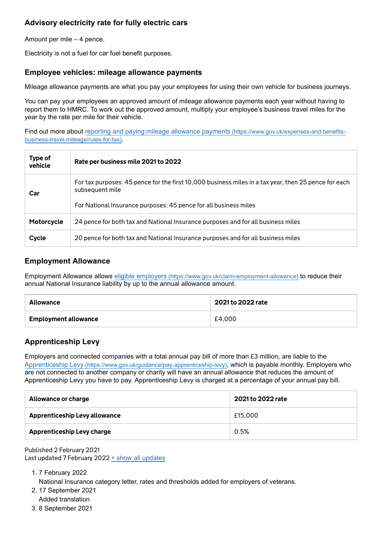## **Advisory electricity rate for fully electric cars**

Amount per mile – 4 pence.

Electricity is not a fuel for car fuel benefit purposes.

### <span id="page-7-0"></span>**Employee vehicles: mileage allowance payments**

Mileage allowance payments are what you pay your employees for using their own vehicle for business journeys.

You can pay your employees an approved amount of mileage allowance payments each year without having to report them to HMRC. To work out the approved amount, multiply your employee's business travel miles for the year by the rate per mile for their vehicle.

[Find out more about reporting and paying mileage allowance payments](https://www.gov.uk/expenses-and-benefits-business-travel-mileage/rules-for-tax) (https://www.gov.uk/expenses-and-benefitsbusiness-travel-mileage/rules-for-tax).

| Type of<br>vehicle | Rate per business mile 2021 to 2022                                                                                                                                                         |  |  |
|--------------------|---------------------------------------------------------------------------------------------------------------------------------------------------------------------------------------------|--|--|
| Car                | For tax purposes: 45 pence for the first 10,000 business miles in a tax year, then 25 pence for each<br>subsequent mile<br>For National Insurance purposes: 45 pence for all business miles |  |  |
| Motorcycle         | 24 pence for both tax and National Insurance purposes and for all business miles                                                                                                            |  |  |
| Cycle              | 20 pence for both tax and National Insurance purposes and for all business miles                                                                                                            |  |  |

### <span id="page-7-1"></span>**Employment Allowance**

Employment Allowance allows eligible employers [\(https://www.gov.uk/claim-employment-allowance\)](https://www.gov.uk/claim-employment-allowance) to reduce their annual National Insurance liability by up to the annual allowance amount.

| Allowance                   | 2021 to 2022 rate |
|-----------------------------|-------------------|
| <b>Employment allowance</b> | £4,000            |

## <span id="page-7-2"></span>**Apprenticeship Levy**

Employers and connected companies with a total annual pay bill of more than £3 million, are liable to the Apprenticeship Levy [\(https://www.gov.uk/guidance/pay-apprenticeship-levy\)](https://www.gov.uk/guidance/pay-apprenticeship-levy), which is payable monthly. Employers who are not connected to another company or charity will have an annual allowance that reduces the amount of Apprenticeship Levy you have to pay. Apprenticeship Levy is charged at a percentage of your annual pay bill.

| Allowance or charge                  | 2021 to 2022 rate |  |  |
|--------------------------------------|-------------------|--|--|
| <b>Apprenticeship Levy allowance</b> | £15.000           |  |  |
| <b>Apprenticeship Levy charge</b>    | 0.5%              |  |  |

Published 2 February 2021 Last updated 7 February  $2022 +$  [show all updates](#page-7-3)

- <span id="page-7-3"></span>1. 7 February 2022
	- National Insurance category letter, rates and thresholds added for employers of veterans.
- 2. 17 September 2021 Added translation
- 3. 8 September 2021